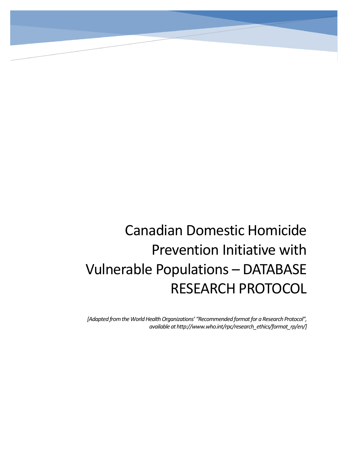# Canadian Domestic Homicide Prevention Initiative with Vulnerable Populations – DATABASE RESEARCH PROTOCOL

*[Adapted from the World Health Organizations' "Recommended format for a Research Protocol", available at http://www.who.int/rpc/research\_ethics/format\_rp/en/]*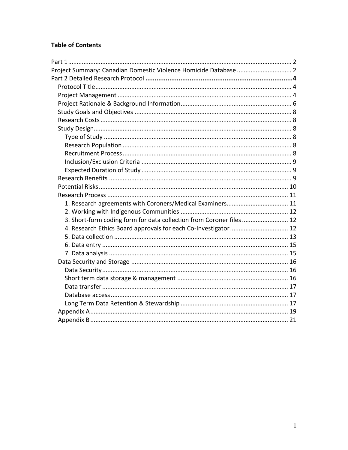# **Table of Contents**

| Project Summary: Canadian Domestic Violence Homicide Database  2     |  |
|----------------------------------------------------------------------|--|
|                                                                      |  |
|                                                                      |  |
|                                                                      |  |
|                                                                      |  |
|                                                                      |  |
|                                                                      |  |
|                                                                      |  |
|                                                                      |  |
|                                                                      |  |
|                                                                      |  |
|                                                                      |  |
|                                                                      |  |
|                                                                      |  |
|                                                                      |  |
|                                                                      |  |
| 1. Research agreements with Coroners/Medical Examiners 11            |  |
|                                                                      |  |
| 3. Short-form coding form for data collection from Coroner files  12 |  |
| 4. Research Ethics Board approvals for each Co-Investigator  12      |  |
|                                                                      |  |
|                                                                      |  |
|                                                                      |  |
|                                                                      |  |
|                                                                      |  |
|                                                                      |  |
|                                                                      |  |
|                                                                      |  |
|                                                                      |  |
|                                                                      |  |
|                                                                      |  |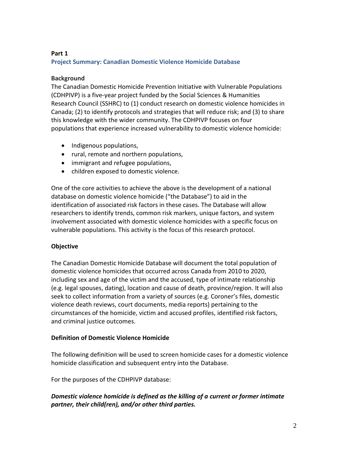## **Part 1**

#### **Project Summary: Canadian Domestic Violence Homicide Database**

#### **Background**

The Canadian Domestic Homicide Prevention Initiative with Vulnerable Populations (CDHPIVP) is a five-year project funded by the Social Sciences & Humanities Research Council (SSHRC) to (1) conduct research on domestic violence homicides in Canada; (2) to identify protocols and strategies that will reduce risk; and (3) to share this knowledge with the wider community. The CDHPIVP focuses on four populations that experience increased vulnerability to domestic violence homicide:

- Indigenous populations,
- rural, remote and northern populations,
- immigrant and refugee populations,
- children exposed to domestic violence.

One of the core activities to achieve the above is the development of a national database on domestic violence homicide ("the Database") to aid in the identification of associated risk factors in these cases. The Database will allow researchers to identify trends, common risk markers, unique factors, and system involvement associated with domestic violence homicides with a specific focus on vulnerable populations. This activity is the focus of this research protocol.

#### **Objective**

The Canadian Domestic Homicide Database will document the total population of domestic violence homicides that occurred across Canada from 2010 to 2020, including sex and age of the victim and the accused, type of intimate relationship (e.g. legal spouses, dating), location and cause of death, province/region. It will also seek to collect information from a variety of sources (e.g. Coroner's files, domestic violence death reviews, court documents, media reports) pertaining to the circumstances of the homicide, victim and accused profiles, identified risk factors, and criminal justice outcomes.

#### **Definition of Domestic Violence Homicide**

The following definition will be used to screen homicide cases for a domestic violence homicide classification and subsequent entry into the Database.

For the purposes of the CDHPIVP database:

# *Domestic violence homicide is defined as the killing of a current or former intimate partner, their child(ren), and/or other third parties.*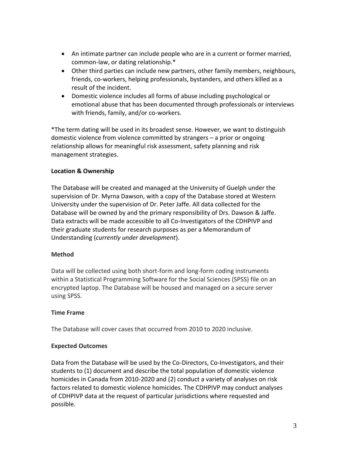- An intimate partner can include people who are in a current or former married, common-law, or dating relationship.\*
- Other third parties can include new partners, other family members, neighbours, friends, co-workers, helping professionals, bystanders, and others killed as a result of the incident.
- Domestic violence includes all forms of abuse including psychological or emotional abuse that has been documented through professionals or interviews with friends, family, and/or co-workers.

\*The term dating will be used in its broadest sense. However, we want to distinguish domestic violence from violence committed by strangers – a prior or ongoing relationship allows for meaningful risk assessment, safety planning and risk management strategies.

# **Location & Ownership**

The Database will be created and managed at the University of Guelph under the supervision of Dr. Myrna Dawson, with a copy of the Database stored at Western University under the supervision of Dr. Peter Jaffe. All data collected for the Database will be owned by and the primary responsibility of Drs. Dawson & Jaffe. Data extracts will be made accessible to all Co-Investigators of the CDHPIVP and their graduate students for research purposes as per a Memorandum of Understanding (*currently under development*).

# **Method**

Data will be collected using both short-form and long-form coding instruments within a Statistical Programming Software for the Social Sciences (SPSS) file on an encrypted laptop. The Database will be housed and managed on a secure server using SPSS.

# **Time Frame**

The Database will cover cases that occurred from 2010 to 2020 inclusive.

# **Expected Outcomes**

Data from the Database will be used by the Co-Directors, Co-Investigators, and their students to (1) document and describe the total population of domestic violence homicides in Canada from 2010-2020 and (2) conduct a variety of analyses on risk factors related to domestic violence homicides. The CDHPIVP may conduct analyses of CDHPIVP data at the request of particular jurisdictions where requested and possible.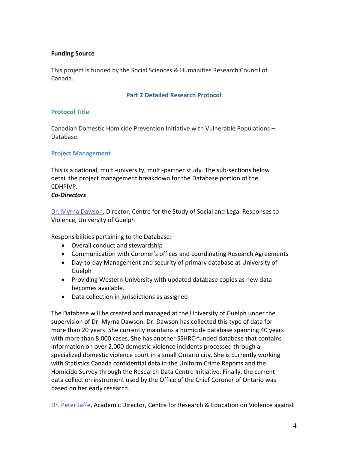### **Funding Source**

This project is funded by the Social Sciences & Humanities Research Council of Canada.

#### **Part 2 Detailed Research Protocol**

#### **Protocol Title**

Canadian Domestic Homicide Prevention Initiative with Vulnerable Populations – Database.

#### **Project Management**

This is a national, multi-university, multi-partner study. The sub-sections below detail the project management breakdown for the Database portion of the CDHPIVP.

#### *Co-Directors*

[Dr. Myrna Dawson,](http://cdhpi.ca/myrna-dawson) Director, Centre for the Study of Social and Legal Responses to Violence, University of Guelph

Responsibilities pertaining to the Database:

- Overall conduct and stewardship
- Communication with Coroner's offices and coordinating Research Agreements
- Day-to-day Management and security of primary database at University of Guelph
- Providing Western University with updated database copies as new data becomes available.
- Data collection in jurisdictions as assigned

The Database will be created and managed at the University of Guelph under the supervision of Dr. Myrna Dawson. Dr. Dawson has collected this type of data for more than 20 years. She currently maintains a homicide database spanning 40 years with more than 8,000 cases. She has another SSHRC-funded database that contains information on over 2,000 domestic violence incidents processed through a specialized domestic violence court in a small Ontario city. She is currently working with Statistics Canada confidential data in the Uniform Crime Reports and the Homicide Survey through the Research Data Centre Initiative. Finally, the current data collection instrument used by the Office of the Chief Coroner of Ontario was based on her early research.

[Dr. Peter Jaffe,](http://cdhpi.ca/peter-jaffe) Academic Director, Centre for Research & Education on Violence against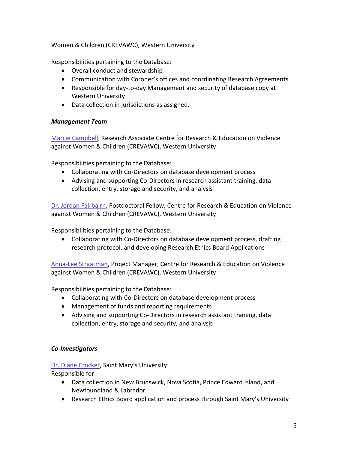Women & Children (CREVAWC), Western University

Responsibilities pertaining to the Database:

- Overall conduct and stewardship
- Communication with Coroner's offices and coordinating Research Agreements
- Responsible for day-to-day Management and security of database copy at Western University
- Data collection in jurisdictions as assigned.

# *Management Team*

[Marcie Campbell,](http://cdhpi.ca/marcie-campbell) Research Associate Centre for Research & Education on Violence against Women & Children (CREVAWC), Western University

Responsibilities pertaining to the Database:

- Collaborating with Co-Directors on database development process
- Advising and supporting Co-Directors in research assistant training, data collection, entry, storage and security, and analysis

[Dr. Jordan Fairbairn,](http://cdhpi.ca/jordan-fairbairn) Postdoctoral Fellow, Centre for Research & Education on Violence against Women & Children (CREVAWC), Western University

Responsibilities pertaining to the Database:

 Collaborating with Co-Directors on database development process, drafting research protocol, and developing Research Ethics Board Applications

[Anna-Lee Straatman,](http://cdhpi.ca/anna-lee-straatman) Project Manager, Centre for Research & Education on Violence against Women & Children (CREVAWC), Western University

Responsibilities pertaining to the Database:

- Collaborating with Co-Directors on database development process
- Management of funds and reporting requirements
- Advising and supporting Co-Directors in research assistant training, data collection, entry, storage and security, and analysis

# *Co-Investigators*

[Dr. Diane Crocker](http://cdhpi.ca/diane-crocker), Saint Mary's University

Responsible for:

- Data collection in New Brunswick, Nova Scotia, Prince Edward Island, and Newfoundland & Labrador
- Research Ethics Board application and process through Saint Mary's University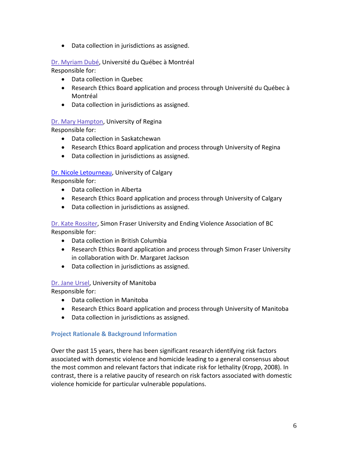Data collection in jurisdictions as assigned.

# [Dr. Myriam Dubé,](http://cdhpi.ca/myriam-dub%C3%A9) Université du Québec à Montréal

Responsible for:

- Data collection in Quebec
- Research Ethics Board application and process through Université du Québec à Montréal
- Data collection in jurisdictions as assigned.

# [Dr. Mary Hampton,](http://cdhpi.ca/mary-hampton) University of Regina

Responsible for:

- Data collection in Saskatchewan
- Research Ethics Board application and process through University of Regina
- Data collection in jurisdictions as assigned.

# [Dr. Nicole Letourneau,](http://cdhpi.ca/nicole-letourneau) University of Calgary

Responsible for:

- Data collection in Alberta
- Research Ethics Board application and process through University of Calgary
- Data collection in jurisdictions as assigned.

[Dr. Kate Rossiter,](http://cdhpi.ca/kate-rossiter) Simon Fraser University and Ending Violence Association of BC

Responsible for:

- Data collection in British Columbia
- Research Ethics Board application and process through Simon Fraser University in collaboration with Dr. Margaret Jackson
- Data collection in jurisdictions as assigned.

# [Dr. Jane Ursel,](http://cdhpi.ca/jane-ursel) University of Manitoba

Responsible for:

- Data collection in Manitoba
- Research Ethics Board application and process through University of Manitoba
- Data collection in jurisdictions as assigned.

# **Project Rationale & Background Information**

Over the past 15 years, there has been significant research identifying risk factors associated with domestic violence and homicide leading to a general consensus about the most common and relevant factors that indicate risk for lethality (Kropp, 2008). In contrast, there is a relative paucity of research on risk factors associated with domestic violence homicide for particular vulnerable populations.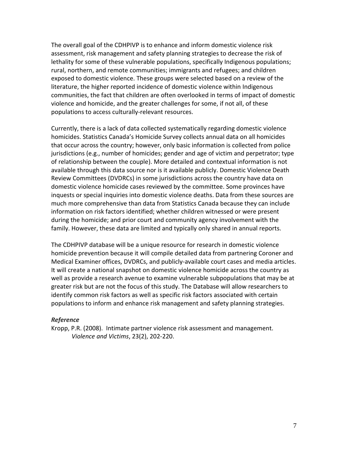The overall goal of the CDHPIVP is to enhance and inform domestic violence risk assessment, risk management and safety planning strategies to decrease the risk of lethality for some of these vulnerable populations, specifically Indigenous populations; rural, northern, and remote communities; immigrants and refugees; and children exposed to domestic violence. These groups were selected based on a review of the literature, the higher reported incidence of domestic violence within Indigenous communities, the fact that children are often overlooked in terms of impact of domestic violence and homicide, and the greater challenges for some, if not all, of these populations to access culturally-relevant resources.

Currently, there is a lack of data collected systematically regarding domestic violence homicides. Statistics Canada's Homicide Survey collects annual data on all homicides that occur across the country; however, only basic information is collected from police jurisdictions (e.g., number of homicides; gender and age of victim and perpetrator; type of relationship between the couple). More detailed and contextual information is not available through this data source nor is it available publicly. Domestic Violence Death Review Committees (DVDRCs) in some jurisdictions across the country have data on domestic violence homicide cases reviewed by the committee. Some provinces have inquests or special inquiries into domestic violence deaths. Data from these sources are much more comprehensive than data from Statistics Canada because they can include information on risk factors identified; whether children witnessed or were present during the homicide; and prior court and community agency involvement with the family. However, these data are limited and typically only shared in annual reports.

The CDHPIVP database will be a unique resource for research in domestic violence homicide prevention because it will compile detailed data from partnering Coroner and Medical Examiner offices, DVDRCs, and publicly-available court cases and media articles. It will create a national snapshot on domestic violence homicide across the country as well as provide a research avenue to examine vulnerable subpopulations that may be at greater risk but are not the focus of this study. The Database will allow researchers to identify common risk factors as well as specific risk factors associated with certain populations to inform and enhance risk management and safety planning strategies.

#### *Reference*

Kropp, P.R. (2008). Intimate partner violence risk assessment and management. *Violence and Victims*, 23(2), 202-220.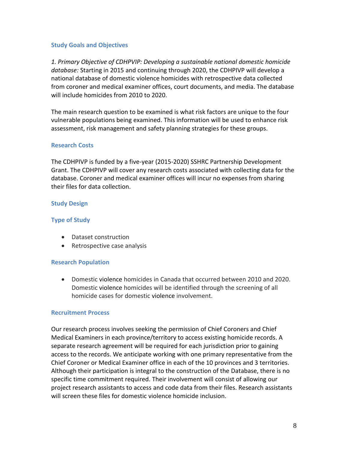#### **Study Goals and Objectives**

*1. Primary Objective of CDHPVIP: Developing a sustainable national domestic homicide database:* Starting in 2015 and continuing through 2020, the CDHPIVP will develop a national database of domestic violence homicides with retrospective data collected from coroner and medical examiner offices, court documents, and media. The database will include homicides from 2010 to 2020.

The main research question to be examined is what risk factors are unique to the four vulnerable populations being examined. This information will be used to enhance risk assessment, risk management and safety planning strategies for these groups.

#### **Research Costs**

The CDHPIVP is funded by a five-year (2015-2020) SSHRC Partnership Development Grant. The CDHPIVP will cover any research costs associated with collecting data for the database. Coroner and medical examiner offices will incur no expenses from sharing their files for data collection.

#### **Study Design**

#### **Type of Study**

- Dataset construction
- Retrospective case analysis

#### **Research Population**

 Domestic violence homicides in Canada that occurred between 2010 and 2020. Domestic violence homicides will be identified through the screening of all homicide cases for domestic violence involvement.

#### **Recruitment Process**

Our research process involves seeking the permission of Chief Coroners and Chief Medical Examiners in each province/territory to access existing homicide records. A separate research agreement will be required for each jurisdiction prior to gaining access to the records. We anticipate working with one primary representative from the Chief Coroner or Medical Examiner office in each of the 10 provinces and 3 territories. Although their participation is integral to the construction of the Database, there is no specific time commitment required. Their involvement will consist of allowing our project research assistants to access and code data from their files. Research assistants will screen these files for domestic violence homicide inclusion.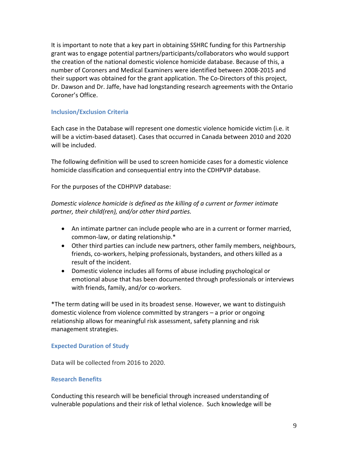It is important to note that a key part in obtaining SSHRC funding for this Partnership grant was to engage potential partners/participants/collaborators who would support the creation of the national domestic violence homicide database. Because of this, a number of Coroners and Medical Examiners were identified between 2008-2015 and their support was obtained for the grant application. The Co-Directors of this project, Dr. Dawson and Dr. Jaffe, have had longstanding research agreements with the Ontario Coroner's Office.

#### **Inclusion/Exclusion Criteria**

Each case in the Database will represent one domestic violence homicide victim (i.e. it will be a victim-based dataset). Cases that occurred in Canada between 2010 and 2020 will be included.

The following definition will be used to screen homicide cases for a domestic violence homicide classification and consequential entry into the CDHPVIP database.

For the purposes of the CDHPIVP database:

*Domestic violence homicide is defined as the killing of a current or former intimate partner, their child(ren), and/or other third parties.*

- An intimate partner can include people who are in a current or former married, common-law, or dating relationship.\*
- Other third parties can include new partners, other family members, neighbours, friends, co-workers, helping professionals, bystanders, and others killed as a result of the incident.
- Domestic violence includes all forms of abuse including psychological or emotional abuse that has been documented through professionals or interviews with friends, family, and/or co-workers.

\*The term dating will be used in its broadest sense. However, we want to distinguish domestic violence from violence committed by strangers – a prior or ongoing relationship allows for meaningful risk assessment, safety planning and risk management strategies.

#### **Expected Duration of Study**

Data will be collected from 2016 to 2020.

#### **Research Benefits**

Conducting this research will be beneficial through increased understanding of vulnerable populations and their risk of lethal violence. Such knowledge will be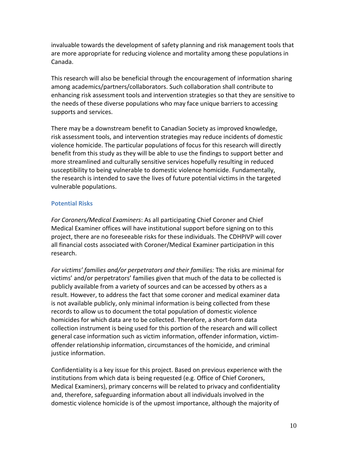invaluable towards the development of safety planning and risk management tools that are more appropriate for reducing violence and mortality among these populations in Canada.

This research will also be beneficial through the encouragement of information sharing among academics/partners/collaborators. Such collaboration shall contribute to enhancing risk assessment tools and intervention strategies so that they are sensitive to the needs of these diverse populations who may face unique barriers to accessing supports and services.

There may be a downstream benefit to Canadian Society as improved knowledge, risk assessment tools, and intervention strategies may reduce incidents of domestic violence homicide. The particular populations of focus for this research will directly benefit from this study as they will be able to use the findings to support better and more streamlined and culturally sensitive services hopefully resulting in reduced susceptibility to being vulnerable to domestic violence homicide. Fundamentally, the research is intended to save the lives of future potential victims in the targeted vulnerable populations.

# **Potential Risks**

*For Coroners/Medical Examiners*: As all participating Chief Coroner and Chief Medical Examiner offices will have institutional support before signing on to this project, there are no foreseeable risks for these individuals. The CDHPIVP will cover all financial costs associated with Coroner/Medical Examiner participation in this research.

*For victims' families and/or perpetrators and their families:* The risks are minimal for victims' and/or perpetrators' families given that much of the data to be collected is publicly available from a variety of sources and can be accessed by others as a result. However, to address the fact that some coroner and medical examiner data is not available publicly, only minimal information is being collected from these records to allow us to document the total population of domestic violence homicides for which data are to be collected. Therefore, a short-form data collection instrument is being used for this portion of the research and will collect general case information such as victim information, offender information, victimoffender relationship information, circumstances of the homicide, and criminal justice information.

Confidentiality is a key issue for this project. Based on previous experience with the institutions from which data is being requested (e.g. Office of Chief Coroners, Medical Examiners), primary concerns will be related to privacy and confidentiality and, therefore, safeguarding information about all individuals involved in the domestic violence homicide is of the upmost importance, although the majority of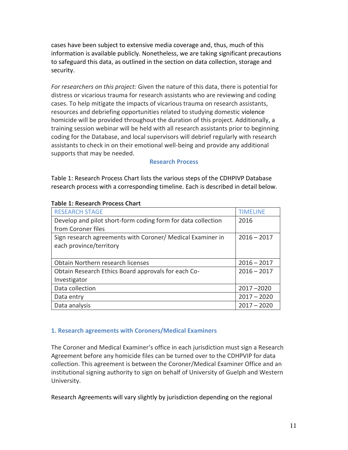cases have been subject to extensive media coverage and, thus, much of this information is available publicly. Nonetheless, we are taking significant precautions to safeguard this data, as outlined in the section on data collection, storage and security.

*For researchers on this project:* Given the nature of this data, there is potential for distress or vicarious trauma for research assistants who are reviewing and coding cases. To help mitigate the impacts of vicarious trauma on research assistants, resources and debriefing opportunities related to studying domestic violence homicide will be provided throughout the duration of this project. Additionally, a training session webinar will be held with all research assistants prior to beginning coding for the Database, and local supervisors will debrief regularly with research assistants to check in on their emotional well-being and provide any additional supports that may be needed.

#### **Research Process**

Table 1: Research Process Chart lists the various steps of the CDHPIVP Database research process with a corresponding timeline. Each is described in detail below.

| <b>RESEARCH STAGE</b>                                        | <b>TIMFLINF</b> |
|--------------------------------------------------------------|-----------------|
| Develop and pilot short-form coding form for data collection | 2016            |
| from Coroner files                                           |                 |
| Sign research agreements with Coroner/ Medical Examiner in   | $2016 - 2017$   |
| each province/territory                                      |                 |
|                                                              |                 |
| Obtain Northern research licenses                            | $2016 - 2017$   |
| Obtain Research Ethics Board approvals for each Co-          | $2016 - 2017$   |
| Investigator                                                 |                 |
| Data collection                                              | $2017 - 2020$   |
| Data entry                                                   | $2017 - 2020$   |
| Data analysis                                                | $2017 - 2020$   |

#### **Table 1: Research Process Chart**

#### **1. Research agreements with Coroners/Medical Examiners**

The Coroner and Medical Examiner's office in each jurisdiction must sign a Research Agreement before any homicide files can be turned over to the CDHPVIP for data collection. This agreement is between the Coroner/Medical Examiner Office and an institutional signing authority to sign on behalf of University of Guelph and Western University.

Research Agreements will vary slightly by jurisdiction depending on the regional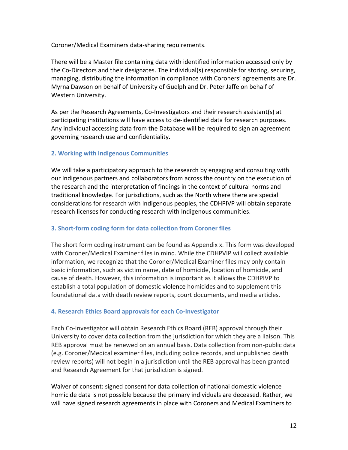Coroner/Medical Examiners data-sharing requirements.

There will be a Master file containing data with identified information accessed only by the Co-Directors and their designates. The individual(s) responsible for storing, securing, managing, distributing the information in compliance with Coroners' agreements are Dr. Myrna Dawson on behalf of University of Guelph and Dr. Peter Jaffe on behalf of Western University.

As per the Research Agreements, Co-Investigators and their research assistant(s) at participating institutions will have access to de-identified data for research purposes. Any individual accessing data from the Database will be required to sign an agreement governing research use and confidentiality.

# **2. Working with Indigenous Communities**

We will take a participatory approach to the research by engaging and consulting with our Indigenous partners and collaborators from across the country on the execution of the research and the interpretation of findings in the context of cultural norms and traditional knowledge. For jurisdictions, such as the North where there are special considerations for research with Indigenous peoples, the CDHPIVP will obtain separate research licenses for conducting research with Indigenous communities.

# **3. Short-form coding form for data collection from Coroner files**

The short form coding instrument can be found as Appendix x. This form was developed with Coroner/Medical Examiner files in mind. While the CDHPVIP will collect available information, we recognize that the Coroner/Medical Examiner files may only contain basic information, such as victim name, date of homicide, location of homicide, and cause of death. However, this information is important as it allows the CDHPIVP to establish a total population of domestic violence homicides and to supplement this foundational data with death review reports, court documents, and media articles.

# **4. Research Ethics Board approvals for each Co-Investigator**

Each Co-Investigator will obtain Research Ethics Board (REB) approval through their University to cover data collection from the jurisdiction for which they are a liaison. This REB approval must be renewed on an annual basis. Data collection from non-public data (e.g. Coroner/Medical examiner files, including police records, and unpublished death review reports) will not begin in a jurisdiction until the REB approval has been granted and Research Agreement for that jurisdiction is signed.

Waiver of consent: signed consent for data collection of national domestic violence homicide data is not possible because the primary individuals are deceased. Rather, we will have signed research agreements in place with Coroners and Medical Examiners to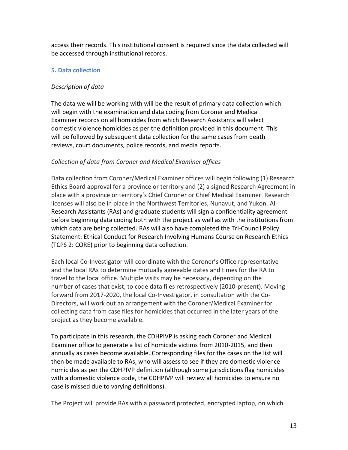access their records. This institutional consent is required since the data collected will be accessed through institutional records.

# **5. Data collection**

# *Description of data*

The data we will be working with will be the result of primary data collection which will begin with the examination and data coding from Coroner and Medical Examiner records on all homicides from which Research Assistants will select domestic violence homicides as per the definition provided in this document. This will be followed by subsequent data collection for the same cases from death reviews, court documents, police records, and media reports.

# *Collection of data from Coroner and Medical Examiner offices*

Data collection from Coroner/Medical Examiner offices will begin following (1) Research Ethics Board approval for a province or territory and (2) a signed Research Agreement in place with a province or territory's Chief Coroner or Chief Medical Examiner. Research licenses will also be in place in the Northwest Territories, Nunavut, and Yukon. All Research Assistants (RAs) and graduate students will sign a confidentiality agreement before beginning data coding both with the project as well as with the institutions from which data are being collected. RAs will also have completed the Tri-Council Policy Statement: Ethical Conduct for Research Involving Humans Course on Research Ethics (TCPS 2: CORE) prior to beginning data collection.

Each local Co-Investigator will coordinate with the Coroner's Office representative and the local RAs to determine mutually agreeable dates and times for the RA to travel to the local office. Multiple visits may be necessary, depending on the number of cases that exist, to code data files retrospectively (2010-present). Moving forward from 2017-2020, the local Co-Investigator, in consultation with the Co-Directors, will work out an arrangement with the Coroner/Medical Examiner for collecting data from case files for homicides that occurred in the later years of the project as they become available.

To participate in this research, the CDHPIVP is asking each Coroner and Medical Examiner office to generate a list of homicide victims from 2010-2015, and then annually as cases become available. Corresponding files for the cases on the list will then be made available to RAs, who will assess to see if they are domestic violence homicides as per the CDHPIVP definition (although some jurisdictions flag homicides with a domestic violence code, the CDHPIVP will review all homicides to ensure no case is missed due to varying definitions).

The Project will provide RAs with a password protected, encrypted laptop, on which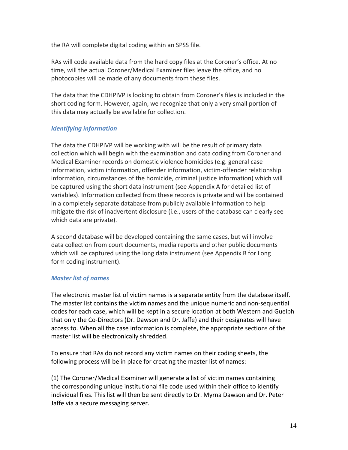the RA will complete digital coding within an SPSS file.

RAs will code available data from the hard copy files at the Coroner's office. At no time, will the actual Coroner/Medical Examiner files leave the office, and no photocopies will be made of any documents from these files.

The data that the CDHPIVP is looking to obtain from Coroner's files is included in the short coding form. However, again, we recognize that only a very small portion of this data may actually be available for collection.

# *Identifying information*

The data the CDHPIVP will be working with will be the result of primary data collection which will begin with the examination and data coding from Coroner and Medical Examiner records on domestic violence homicides (e.g. general case information, victim information, offender information, victim-offender relationship information, circumstances of the homicide, criminal justice information) which will be captured using the short data instrument (see Appendix A for detailed list of variables). Information collected from these records is private and will be contained in a completely separate database from publicly available information to help mitigate the risk of inadvertent disclosure (i.e., users of the database can clearly see which data are private).

A second database will be developed containing the same cases, but will involve data collection from court documents, media reports and other public documents which will be captured using the long data instrument (see Appendix B for Long form coding instrument).

# *Master list of names*

The electronic master list of victim names is a separate entity from the database itself. The master list contains the victim names and the unique numeric and non-sequential codes for each case, which will be kept in a secure location at both Western and Guelph that only the Co-Directors (Dr. Dawson and Dr. Jaffe) and their designates will have access to. When all the case information is complete, the appropriate sections of the master list will be electronically shredded.

To ensure that RAs do not record any victim names on their coding sheets, the following process will be in place for creating the master list of names:

(1) The Coroner/Medical Examiner will generate a list of victim names containing the corresponding unique institutional file code used within their office to identify individual files. This list will then be sent directly to Dr. Myrna Dawson and Dr. Peter Jaffe via a secure messaging server.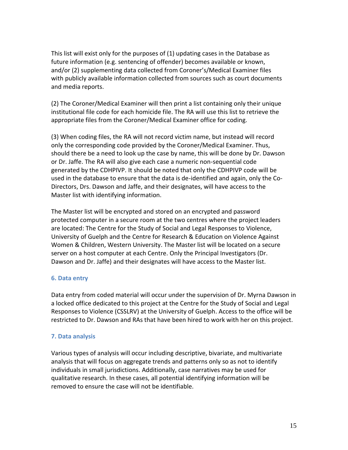This list will exist only for the purposes of (1) updating cases in the Database as future information (e.g. sentencing of offender) becomes available or known, and/or (2) supplementing data collected from Coroner's/Medical Examiner files with publicly available information collected from sources such as court documents and media reports.

(2) The Coroner/Medical Examiner will then print a list containing only their unique institutional file code for each homicide file. The RA will use this list to retrieve the appropriate files from the Coroner/Medical Examiner office for coding.

(3) When coding files, the RA will not record victim name, but instead will record only the corresponding code provided by the Coroner/Medical Examiner. Thus, should there be a need to look up the case by name, this will be done by Dr. Dawson or Dr. Jaffe. The RA will also give each case a numeric non-sequential code generated by the CDHPIVP. It should be noted that only the CDHPIVP code will be used in the database to ensure that the data is de-identified and again, only the Co-Directors, Drs. Dawson and Jaffe, and their designates, will have access to the Master list with identifying information.

The Master list will be encrypted and stored on an encrypted and password protected computer in a secure room at the two centres where the project leaders are located: The Centre for the Study of Social and Legal Responses to Violence, University of Guelph and the Centre for Research & Education on Violence Against Women & Children, Western University. The Master list will be located on a secure server on a host computer at each Centre. Only the Principal Investigators (Dr. Dawson and Dr. Jaffe) and their designates will have access to the Master list.

# **6. Data entry**

Data entry from coded material will occur under the supervision of Dr. Myrna Dawson in a locked office dedicated to this project at the Centre for the Study of Social and Legal Responses to Violence (CSSLRV) at the University of Guelph. Access to the office will be restricted to Dr. Dawson and RAs that have been hired to work with her on this project.

# **7. Data analysis**

Various types of analysis will occur including descriptive, bivariate, and multivariate analysis that will focus on aggregate trends and patterns only so as not to identify individuals in small jurisdictions. Additionally, case narratives may be used for qualitative research. In these cases, all potential identifying information will be removed to ensure the case will not be identifiable.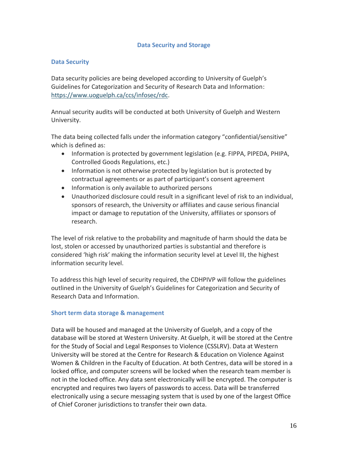#### **Data Security and Storage**

#### **Data Security**

Data security policies are being developed according to University of Guelph's Guidelines for Categorization and Security of Research Data and Information: [https://www.uoguelph.ca/ccs/infosec/rdc.](https://www.uoguelph.ca/ccs/infosec/rdc)

Annual security audits will be conducted at both University of Guelph and Western University.

The data being collected falls under the information category "confidential/sensitive" which is defined as:

- Information is protected by government legislation (e.g. FIPPA, PIPEDA, PHIPA, Controlled Goods Regulations, etc.)
- Information is not otherwise protected by legislation but is protected by contractual agreements or as part of participant's consent agreement
- Information is only available to authorized persons
- Unauthorized disclosure could result in a significant level of risk to an individual, sponsors of research, the University or affiliates and cause serious financial impact or damage to reputation of the University, affiliates or sponsors of research.

The level of risk relative to the probability and magnitude of harm should the data be lost, stolen or accessed by unauthorized parties is substantial and therefore is considered 'high risk' making the information security level at Level III, the highest information security level.

To address this high level of security required, the CDHPIVP will follow the guidelines outlined in the University of Guelph's Guidelines for Categorization and Security of Research Data and Information.

#### **Short term data storage & management**

Data will be housed and managed at the University of Guelph, and a copy of the database will be stored at Western University. At Guelph, it will be stored at the Centre for the Study of Social and Legal Responses to Violence (CSSLRV). Data at Western University will be stored at the Centre for Research & Education on Violence Against Women & Children in the Faculty of Education. At both Centres, data will be stored in a locked office, and computer screens will be locked when the research team member is not in the locked office. Any data sent electronically will be encrypted. The computer is encrypted and requires two layers of passwords to access. Data will be transferred electronically using a secure messaging system that is used by one of the largest Office of Chief Coroner jurisdictions to transfer their own data.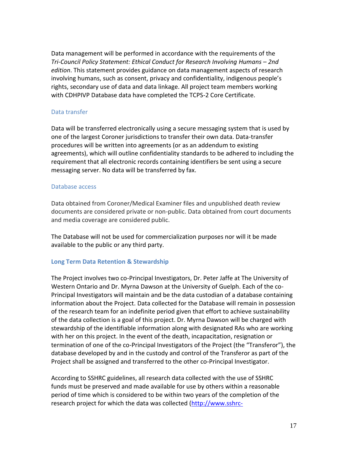Data management will be performed in accordance with the requirements of the *Tri-Council Policy Statement: Ethical Conduct for Research Involving Humans – 2nd edition*. This statement provides guidance on data management aspects of research involving humans, such as consent, privacy and confidentiality, indigenous people's rights, secondary use of data and data linkage. All project team members working with CDHPIVP Database data have completed the TCPS-2 Core Certificate.

#### Data transfer

Data will be transferred electronically using a secure messaging system that is used by one of the largest Coroner jurisdictions to transfer their own data. Data-transfer procedures will be written into agreements (or as an addendum to existing agreements), which will outline confidentiality standards to be adhered to including the requirement that all electronic records containing identifiers be sent using a secure messaging server. No data will be transferred by fax.

#### Database access

Data obtained from Coroner/Medical Examiner files and unpublished death review documents are considered private or non-public. Data obtained from court documents and media coverage are considered public.

The Database will not be used for commercialization purposes nor will it be made available to the public or any third party.

#### **Long Term Data Retention & Stewardship**

The Project involves two co-Principal Investigators, Dr. Peter Jaffe at The University of Western Ontario and Dr. Myrna Dawson at the University of Guelph. Each of the co-Principal Investigators will maintain and be the data custodian of a database containing information about the Project. Data collected for the Database will remain in possession of the research team for an indefinite period given that effort to achieve sustainability of the data collection is a goal of this project. Dr. Myrna Dawson will be charged with stewardship of the identifiable information along with designated RAs who are working with her on this project. In the event of the death, incapacitation, resignation or termination of one of the co-Principal Investigators of the Project (the "Transferor"), the database developed by and in the custody and control of the Transferor as part of the Project shall be assigned and transferred to the other co-Principal Investigator.

According to SSHRC guidelines, all research data collected with the use of SSHRC funds must be preserved and made available for use by others within a reasonable period of time which is considered to be within two years of the completion of the research project for which the data was collected [\(http://www.sshrc-](http://www.sshrc-crsh.gc.ca/about-au_sujet/policies-politiques/statements-enonces/edata-donnees_electroniques-eng.aspx)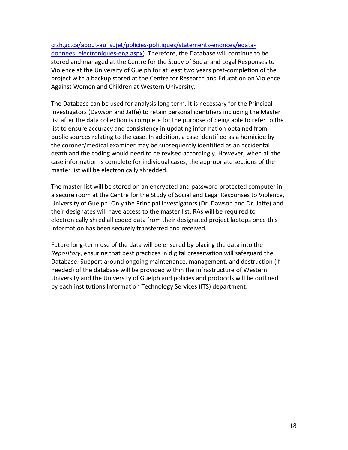#### [crsh.gc.ca/about-au\\_sujet/policies-politiques/statements-enonces/edata-](http://www.sshrc-crsh.gc.ca/about-au_sujet/policies-politiques/statements-enonces/edata-donnees_electroniques-eng.aspx)

donnees electroniques-eng.aspx). Therefore, the Database will continue to be stored and managed at the Centre for the Study of Social and Legal Responses to Violence at the University of Guelph for at least two years post-completion of the project with a backup stored at the Centre for Research and Education on Violence Against Women and Children at Western University.

The Database can be used for analysis long term. It is necessary for the Principal Investigators (Dawson and Jaffe) to retain personal identifiers including the Master list after the data collection is complete for the purpose of being able to refer to the list to ensure accuracy and consistency in updating information obtained from public sources relating to the case. In addition, a case identified as a homicide by the coroner/medical examiner may be subsequently identified as an accidental death and the coding would need to be revised accordingly. However, when all the case information is complete for individual cases, the appropriate sections of the master list will be electronically shredded.

The master list will be stored on an encrypted and password protected computer in a secure room at the Centre for the Study of Social and Legal Responses to Violence, University of Guelph. Only the Principal Investigators (Dr. Dawson and Dr. Jaffe) and their designates will have access to the master list. RAs will be required to electronically shred all coded data from their designated project laptops once this information has been securely transferred and received.

Future long-term use of the data will be ensured by placing the data into the *Repository*, ensuring that best practices in digital preservation will safeguard the Database. Support around ongoing maintenance, management, and destruction (if needed) of the database will be provided within the infrastructure of Western University and the University of Guelph and policies and protocols will be outlined by each institutions Information Technology Services (ITS) department.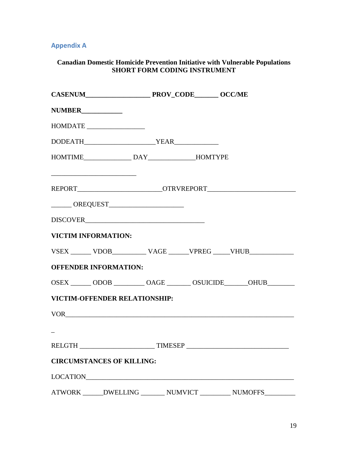# **Appendix A**

## **Canadian Domestic Homicide Prevention Initiative with Vulnerable Populations SHORT FORM CODING INSTRUMENT**

| $\label{eq:subMDATE} \hbox{HOMDATE} \underline{\hspace{2cm}} \underline{\hspace{2cm}} \underline{\hspace{2cm}} \underline{\hspace{2cm}} \underline{\hspace{2cm}} \underline{\hspace{2cm}} \underline{\hspace{2cm}} \underline{\hspace{2cm}} \underline{\hspace{2cm}} \underline{\hspace{2cm}} \underline{\hspace{2cm}} \underline{\hspace{2cm}} \underline{\hspace{2cm}} \underline{\hspace{2cm}} \underline{\hspace{2cm}} \underline{\hspace{2cm}} \underline{\hspace{2cm}} \underline{\hspace{2cm}} \underline{\hspace{2cm}} \underline{\hspace{2cm}} \underline{\hspace{2cm}} \underline{\hspace{2cm}} \underline{\$ |  |  |
|-------------------------------------------------------------------------------------------------------------------------------------------------------------------------------------------------------------------------------------------------------------------------------------------------------------------------------------------------------------------------------------------------------------------------------------------------------------------------------------------------------------------------------------------------------------------------------------------------------------------------|--|--|
|                                                                                                                                                                                                                                                                                                                                                                                                                                                                                                                                                                                                                         |  |  |
|                                                                                                                                                                                                                                                                                                                                                                                                                                                                                                                                                                                                                         |  |  |
| REPORT_____________________________OTRVREPORT___________________________________                                                                                                                                                                                                                                                                                                                                                                                                                                                                                                                                        |  |  |
|                                                                                                                                                                                                                                                                                                                                                                                                                                                                                                                                                                                                                         |  |  |
|                                                                                                                                                                                                                                                                                                                                                                                                                                                                                                                                                                                                                         |  |  |
| VICTIM INFORMATION:                                                                                                                                                                                                                                                                                                                                                                                                                                                                                                                                                                                                     |  |  |
| VSEX _______ VDOB___________ VAGE ______ VPREG _____ VHUB______________                                                                                                                                                                                                                                                                                                                                                                                                                                                                                                                                                 |  |  |
| <b>OFFENDER INFORMATION:</b>                                                                                                                                                                                                                                                                                                                                                                                                                                                                                                                                                                                            |  |  |
| OSEX _______ ODOB _________ OAGE _______ OSUICIDE _______ OHUB ________                                                                                                                                                                                                                                                                                                                                                                                                                                                                                                                                                 |  |  |
| <b>VICTIM-OFFENDER RELATIONSHIP:</b>                                                                                                                                                                                                                                                                                                                                                                                                                                                                                                                                                                                    |  |  |
|                                                                                                                                                                                                                                                                                                                                                                                                                                                                                                                                                                                                                         |  |  |
|                                                                                                                                                                                                                                                                                                                                                                                                                                                                                                                                                                                                                         |  |  |
| RELGTH ________________________________TIMESEP _________________________________                                                                                                                                                                                                                                                                                                                                                                                                                                                                                                                                        |  |  |
| <b>CIRCUMSTANCES OF KILLING:</b>                                                                                                                                                                                                                                                                                                                                                                                                                                                                                                                                                                                        |  |  |
|                                                                                                                                                                                                                                                                                                                                                                                                                                                                                                                                                                                                                         |  |  |
| ATWORK ______DWELLING ________ NUMVICT __________ NUMOFFS_________                                                                                                                                                                                                                                                                                                                                                                                                                                                                                                                                                      |  |  |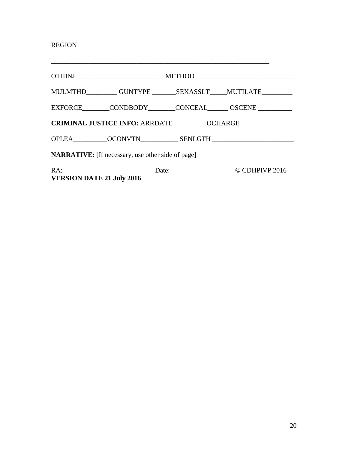# REGION

**VERSION DATE 21 July 2016**

|                                                           |       |  | EXFORCE CONDBODY CONCEAL OSCENE |  |  |
|-----------------------------------------------------------|-------|--|---------------------------------|--|--|
| CRIMINAL JUSTICE INFO: ARRDATE _________ OCHARGE ________ |       |  |                                 |  |  |
|                                                           |       |  |                                 |  |  |
| <b>NARRATIVE:</b> [If necessary, use other side of page]  |       |  |                                 |  |  |
| RA:                                                       | Date: |  | CDHPIVP 2016                    |  |  |

\_\_\_\_\_\_\_\_\_\_\_\_\_\_\_\_\_\_\_\_\_\_\_\_\_\_\_\_\_\_\_\_\_\_\_\_\_\_\_\_\_\_\_\_\_\_\_\_\_\_\_\_\_\_\_\_\_\_\_\_\_\_\_\_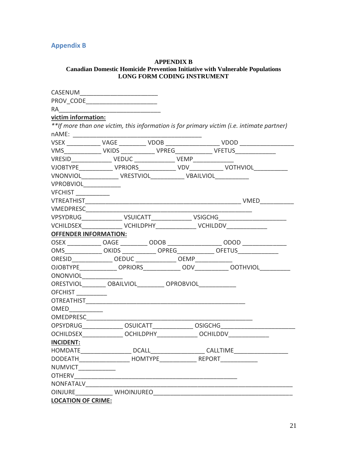# **Appendix B**

#### **APPENDIX B Canadian Domestic Homicide Prevention Initiative with Vulnerable Populations** LONG FORM CODING INSTRUMENT

| CASENUM                                                                            |  |     |                                                                                           |
|------------------------------------------------------------------------------------|--|-----|-------------------------------------------------------------------------------------------|
|                                                                                    |  |     |                                                                                           |
| RA                                                                                 |  |     |                                                                                           |
| victim information:                                                                |  |     |                                                                                           |
|                                                                                    |  |     | **If more than one victim, this information is for primary victim (i.e. intimate partner) |
| nAME:                                                                              |  |     |                                                                                           |
|                                                                                    |  |     |                                                                                           |
| VMS________________ VKIDS _______________ VPREG_______________ VFETUS_____________ |  |     |                                                                                           |
|                                                                                    |  |     |                                                                                           |
|                                                                                    |  |     | VJOBTYPE_____________VPRIORS______________VDV_____________VOTHVIOL______________          |
|                                                                                    |  |     |                                                                                           |
| VPROBVIOL ________                                                                 |  |     |                                                                                           |
| <b>VFCHIST</b>                                                                     |  |     |                                                                                           |
|                                                                                    |  |     |                                                                                           |
|                                                                                    |  |     |                                                                                           |
|                                                                                    |  |     | VPSYDRUG_________________ VSUICATT________________ VSIGCHG______________________          |
| VCHILDSEX________________ VCHILDPHY_______________ VCHILDDV______________          |  |     |                                                                                           |
| <b>OFFENDER INFORMATION:</b>                                                       |  |     |                                                                                           |
|                                                                                    |  |     |                                                                                           |
| OMS ____________OKIDS ____________OPREG_____________OFETUS______________________   |  |     |                                                                                           |
| ORESID__________________ OEDUC _______________ OEMP______________                  |  |     |                                                                                           |
| OJOBTYPE OPRIORS                                                                   |  | ODV | OOTHVIOL                                                                                  |
| ONONVIOL                                                                           |  |     |                                                                                           |
| ORESTVIOL OBAILVIOL OPROBVIOL                                                      |  |     |                                                                                           |
| OFCHIST ____                                                                       |  |     |                                                                                           |
|                                                                                    |  |     |                                                                                           |
| OMED                                                                               |  |     |                                                                                           |
| OMEDPRESC_____________                                                             |  |     |                                                                                           |
| OPSYDRUG ______________ OSUICATT_______________ OSIGCHG_________________________   |  |     |                                                                                           |
| OCHILDSEX OCHILDPHY OCHILDDV                                                       |  |     |                                                                                           |
| <b>INCIDENT:</b>                                                                   |  |     |                                                                                           |
|                                                                                    |  |     |                                                                                           |
| DODEATH___________________                                                         |  |     |                                                                                           |
| NUMVICT _______                                                                    |  |     |                                                                                           |
|                                                                                    |  |     |                                                                                           |
| NONFATALV________________                                                          |  |     |                                                                                           |
|                                                                                    |  |     |                                                                                           |
| <b>LOCATION OF CRIME:</b>                                                          |  |     |                                                                                           |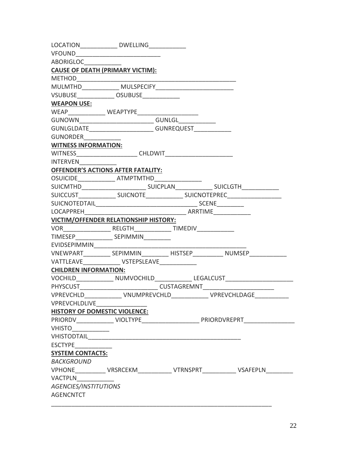|                                                 | LOCATION_______________ DWELLING_____________                   |              |                                                                                   |  |
|-------------------------------------------------|-----------------------------------------------------------------|--------------|-----------------------------------------------------------------------------------|--|
| VFOUND _____________________________            |                                                                 |              |                                                                                   |  |
| ABORIGLOC                                       |                                                                 |              |                                                                                   |  |
| <b>CAUSE OF DEATH (PRIMARY VICTIM):</b>         |                                                                 |              |                                                                                   |  |
| <b>METHOD</b>                                   |                                                                 |              |                                                                                   |  |
|                                                 |                                                                 |              |                                                                                   |  |
| VSUBUSE_______________OSUBUSE______________     |                                                                 |              |                                                                                   |  |
| <b>WEAPON USE:</b>                              |                                                                 |              |                                                                                   |  |
|                                                 |                                                                 |              |                                                                                   |  |
| GUNOWN                                          | _______________________________GUNLGL______                     |              |                                                                                   |  |
|                                                 | GUNLGLDATE____________________________GUNREQUEST_______________ |              |                                                                                   |  |
| <b>GUNORDER</b>                                 |                                                                 |              |                                                                                   |  |
| <b>WITNESS INFORMATION:</b>                     |                                                                 |              |                                                                                   |  |
|                                                 |                                                                 |              |                                                                                   |  |
| <b>INTERVEN</b>                                 |                                                                 |              |                                                                                   |  |
|                                                 | <b>OFFENDER'S ACTIONS AFTER FATALITY:</b>                       |              |                                                                                   |  |
| OSUICIDE______________ ATMPTMTHD_______________ |                                                                 |              |                                                                                   |  |
|                                                 |                                                                 |              | SUICMTHD__________________________________SUICPLAN_______________________________ |  |
|                                                 |                                                                 |              |                                                                                   |  |
|                                                 |                                                                 |              |                                                                                   |  |
| LOCAPPREH                                       |                                                                 |              |                                                                                   |  |
|                                                 | VICTIM/OFFENDER RELATIONSHIP HISTORY:                           |              |                                                                                   |  |
|                                                 |                                                                 |              |                                                                                   |  |
|                                                 |                                                                 |              |                                                                                   |  |
|                                                 |                                                                 |              |                                                                                   |  |
|                                                 |                                                                 |              |                                                                                   |  |
|                                                 | VATTLEAVE VSTEPSLEAVE                                           |              |                                                                                   |  |
| <b>CHILDREN INFORMATION:</b>                    |                                                                 |              |                                                                                   |  |
|                                                 |                                                                 |              | VOCHILD_______________ NUMVOCHILD_______________ LEGALCUST______________________  |  |
|                                                 |                                                                 |              |                                                                                   |  |
| <b>VPREVCHLD</b>                                |                                                                 | VNUMPREVCHLD | <b>VPREVCHLDAGE</b>                                                               |  |
| VPREVCHLDLIVE______________                     |                                                                 |              |                                                                                   |  |
| <b>HISTORY OF DOMESTIC VIOLENCE:</b>            |                                                                 |              |                                                                                   |  |
|                                                 |                                                                 |              |                                                                                   |  |
| VHISTO____________                              |                                                                 |              |                                                                                   |  |
|                                                 |                                                                 |              |                                                                                   |  |
|                                                 |                                                                 |              |                                                                                   |  |
| <b>SYSTEM CONTACTS:</b>                         |                                                                 |              |                                                                                   |  |
| <b>BACKGROUND</b>                               |                                                                 |              |                                                                                   |  |
|                                                 |                                                                 |              | VPHONE____________VRSRCEKM_____________VTRNSPRT_____________VSAFEPLN____________  |  |
| <b>VACTPLN</b>                                  |                                                                 |              |                                                                                   |  |
| AGENCIES/INSTITUTIONS                           |                                                                 |              |                                                                                   |  |
| <b>AGENCNTCT</b>                                |                                                                 |              |                                                                                   |  |
|                                                 |                                                                 |              |                                                                                   |  |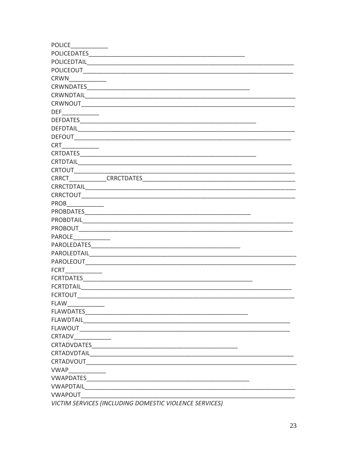| <b>POLICE</b>     |                                                        |
|-------------------|--------------------------------------------------------|
| POLICEDATES       |                                                        |
| POLICEDTAIL       |                                                        |
| <b>POLICEOUT</b>  |                                                        |
| <b>CRWN</b>       |                                                        |
| <b>CRWNDATES</b>  |                                                        |
| <b>CRWNDTAIL</b>  |                                                        |
| <b>CRWNOUT</b>    |                                                        |
| <b>DEF</b>        |                                                        |
| DEFDATES          |                                                        |
| <b>DEFDTAIL</b>   |                                                        |
| <b>DEFOUT</b>     |                                                        |
| <b>CRT</b>        |                                                        |
| <b>CRTDATES</b>   |                                                        |
| <b>CRTDTAIL</b>   |                                                        |
| <b>CRTOUT</b>     |                                                        |
| <b>CRRCT</b>      | <b>CRRCTDATES</b>                                      |
| <b>CRRCTDTAIL</b> |                                                        |
| <b>CRRCTOUT</b>   |                                                        |
| <b>PROB</b>       |                                                        |
| <b>PROBDATES</b>  |                                                        |
| <b>PROBDTAIL</b>  |                                                        |
| <b>PROBOUT</b>    |                                                        |
| <b>PAROLE</b>     |                                                        |
| PAROLEDATES       |                                                        |
| PAROLEDTAIL       |                                                        |
| PAROLEOUT         |                                                        |
| <b>FCRT</b>       |                                                        |
| <b>FCRTDATES</b>  |                                                        |
| <b>FCRTDTAIL</b>  |                                                        |
| <b>FCRTOUT</b>    |                                                        |
| FLAW ___________  |                                                        |
|                   |                                                        |
| FLAWDTAIL         |                                                        |
| <b>FLAWOUT</b>    |                                                        |
| CRTADV            |                                                        |
|                   |                                                        |
| CRTADVDTAIL       |                                                        |
|                   |                                                        |
| <b>VWAP</b>       |                                                        |
|                   |                                                        |
|                   |                                                        |
| <b>VWAPOUT</b>    |                                                        |
|                   | VICTIM SERVICES (INCLUDING DOMESTIC VIOLENCE SERVICES) |
|                   |                                                        |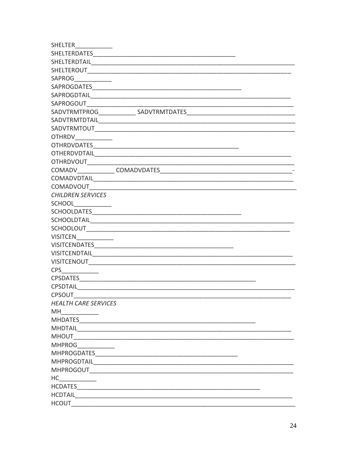| <b>SHELTER</b>                                                                                                                                                                                                                 |                                                                                                                                                                                                                                      |
|--------------------------------------------------------------------------------------------------------------------------------------------------------------------------------------------------------------------------------|--------------------------------------------------------------------------------------------------------------------------------------------------------------------------------------------------------------------------------------|
|                                                                                                                                                                                                                                |                                                                                                                                                                                                                                      |
| SHELTERDTAIL                                                                                                                                                                                                                   |                                                                                                                                                                                                                                      |
| <b>SHELTEROUT</b>                                                                                                                                                                                                              |                                                                                                                                                                                                                                      |
| SAPROG                                                                                                                                                                                                                         |                                                                                                                                                                                                                                      |
|                                                                                                                                                                                                                                |                                                                                                                                                                                                                                      |
|                                                                                                                                                                                                                                |                                                                                                                                                                                                                                      |
| SAPROGOUT                                                                                                                                                                                                                      |                                                                                                                                                                                                                                      |
| SADVTRMTPROG                                                                                                                                                                                                                   | <b>SADVTRMTDATES</b>                                                                                                                                                                                                                 |
| SADVTRMTDTAIL                                                                                                                                                                                                                  |                                                                                                                                                                                                                                      |
| SADVTRMTOUT                                                                                                                                                                                                                    |                                                                                                                                                                                                                                      |
| <b>OTHRDV</b>                                                                                                                                                                                                                  |                                                                                                                                                                                                                                      |
| <b>OTHRDVDATES</b>                                                                                                                                                                                                             |                                                                                                                                                                                                                                      |
|                                                                                                                                                                                                                                | OTHERDVDTAIL COMPANY CONTROL CONTROL CONTROL CONTROL CONTROL CONTROL CONTROL CONTROL CONTROL CONTROL CONTROL CONTROL CONTROL CONTROL CONTROL CONTROL CONTROL CONTROL CONTROL CONTROL CONTROL CONTROL CONTROL CONTROL CONTROL C       |
| <b>OTHRDVOUT</b>                                                                                                                                                                                                               |                                                                                                                                                                                                                                      |
| COMADV COMADVDATES                                                                                                                                                                                                             |                                                                                                                                                                                                                                      |
| COMADVDTAIL                                                                                                                                                                                                                    |                                                                                                                                                                                                                                      |
| COMADVOUT                                                                                                                                                                                                                      |                                                                                                                                                                                                                                      |
| <b>CHILDREN SERVICES</b>                                                                                                                                                                                                       |                                                                                                                                                                                                                                      |
| <b>SCHOOL Example 20</b>                                                                                                                                                                                                       |                                                                                                                                                                                                                                      |
|                                                                                                                                                                                                                                |                                                                                                                                                                                                                                      |
| <b>SCHOOLDTAIL</b>                                                                                                                                                                                                             | <u> 1980 - Jan James James Barnett, fransk politik (d. 1980)</u>                                                                                                                                                                     |
| <b>SCHOOLOUT</b>                                                                                                                                                                                                               |                                                                                                                                                                                                                                      |
| <b>VISITCEN</b>                                                                                                                                                                                                                |                                                                                                                                                                                                                                      |
| <b>VISITCENDATES</b>                                                                                                                                                                                                           |                                                                                                                                                                                                                                      |
| <b>VISITCENDTAIL</b>                                                                                                                                                                                                           |                                                                                                                                                                                                                                      |
| <b>VISITCENOUT</b>                                                                                                                                                                                                             |                                                                                                                                                                                                                                      |
| <b>CPS</b>                                                                                                                                                                                                                     |                                                                                                                                                                                                                                      |
| <b>CPSDATES</b>                                                                                                                                                                                                                |                                                                                                                                                                                                                                      |
| <b>CPSDTAIL</b>                                                                                                                                                                                                                |                                                                                                                                                                                                                                      |
| <b>CPSOUT</b>                                                                                                                                                                                                                  |                                                                                                                                                                                                                                      |
| <b>HEALTH CARE SERVICES</b>                                                                                                                                                                                                    |                                                                                                                                                                                                                                      |
| <b>MH</b>                                                                                                                                                                                                                      |                                                                                                                                                                                                                                      |
| MHDATES                                                                                                                                                                                                                        |                                                                                                                                                                                                                                      |
|                                                                                                                                                                                                                                |                                                                                                                                                                                                                                      |
| <b>MHOUT</b>                                                                                                                                                                                                                   |                                                                                                                                                                                                                                      |
| <b>MHPROG</b>                                                                                                                                                                                                                  |                                                                                                                                                                                                                                      |
|                                                                                                                                                                                                                                |                                                                                                                                                                                                                                      |
|                                                                                                                                                                                                                                |                                                                                                                                                                                                                                      |
|                                                                                                                                                                                                                                | MHPROGOUT AND THE STATE OF THE STATE OF THE STATE OF THE STATE OF THE STATE OF THE STATE OF THE STATE OF THE STATE OF THE STATE OF THE STATE OF THE STATE OF THE STATE OF THE STATE OF THE STATE OF THE STATE OF THE STATE OF        |
| HC and the state of the state of the state of the state of the state of the state of the state of the state of the state of the state of the state of the state of the state of the state of the state of the state of the sta |                                                                                                                                                                                                                                      |
|                                                                                                                                                                                                                                | HCDATES <b>SECURE AND SECURE AND SECURE AND SECURE AND SECURE AND SECURE AND SECURE AND SECURE AND SECURE AND SECURE AND SECURE AND SECURE AND SECURE AND SECURE AND SECURE AND SECURE AND SECURE AND SECURE AND SECURE AND SECU</b> |
| <b>HCDTAIL</b>                                                                                                                                                                                                                 |                                                                                                                                                                                                                                      |
| <b>HCOUT</b>                                                                                                                                                                                                                   |                                                                                                                                                                                                                                      |
|                                                                                                                                                                                                                                |                                                                                                                                                                                                                                      |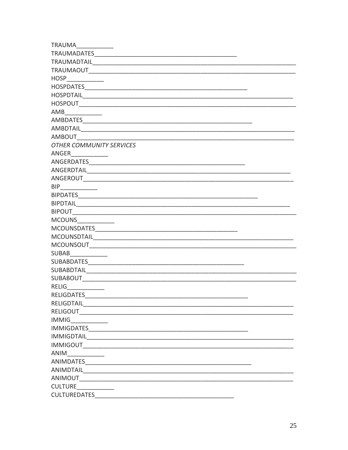| <b>TRAUMA</b>                                                                                                                                                                                                                  |
|--------------------------------------------------------------------------------------------------------------------------------------------------------------------------------------------------------------------------------|
|                                                                                                                                                                                                                                |
| <b>TRAUMADTAIL</b>                                                                                                                                                                                                             |
| <b>TRAUMAOUT</b>                                                                                                                                                                                                               |
| HOSP                                                                                                                                                                                                                           |
|                                                                                                                                                                                                                                |
|                                                                                                                                                                                                                                |
| <b>HOSPOUT</b><br><u> 1980 - Jan James James Barnett, fransk politik (d. 1980)</u>                                                                                                                                             |
| AMB<br><u>and a strong to the strong of the strong strong to the strong strong strong strong strong strong strong strong</u>                                                                                                   |
|                                                                                                                                                                                                                                |
| AMBDTAIL                                                                                                                                                                                                                       |
| <b>AMBOUT</b>                                                                                                                                                                                                                  |
| <b>OTHER COMMUNITY SERVICES</b>                                                                                                                                                                                                |
| ANGER                                                                                                                                                                                                                          |
|                                                                                                                                                                                                                                |
|                                                                                                                                                                                                                                |
| ANGEROUT                                                                                                                                                                                                                       |
| <b>BIP</b>                                                                                                                                                                                                                     |
|                                                                                                                                                                                                                                |
|                                                                                                                                                                                                                                |
| <b>BIPOUT</b><br><u> 1989 - Johann Harry Harry Harry Harry Harry Harry Harry Harry Harry Harry Harry Harry Harry Harry Harry Harry</u>                                                                                         |
| <b>MCOUNS</b>                                                                                                                                                                                                                  |
|                                                                                                                                                                                                                                |
|                                                                                                                                                                                                                                |
|                                                                                                                                                                                                                                |
| <b>SUBAB</b>                                                                                                                                                                                                                   |
| SUBABDATES POSTAGE AND THE CONTRACT OF THE CONTRACT OF THE CONTRACT OF THE CONTRACT OF THE CONTRACT OF THE CONTRACT OF THE CONTRACT OF THE CONTRACT OF THE CONTRACT OF THE CONTRACT OF THE CONTRACT OF THE CONTRACT OF THE CON |
| <b>SUBABDTAIL</b>                                                                                                                                                                                                              |
| <b>SUBABOUT</b>                                                                                                                                                                                                                |
| <b>RELIG</b>                                                                                                                                                                                                                   |
| <b>RELIGDATES</b>                                                                                                                                                                                                              |
|                                                                                                                                                                                                                                |
| <b>RELIGOUT</b>                                                                                                                                                                                                                |
| <b>IMMIG</b>                                                                                                                                                                                                                   |
|                                                                                                                                                                                                                                |
| IMMIGDTAIL <u>___________________________________</u>                                                                                                                                                                          |
| <b>IMMIGOUT</b>                                                                                                                                                                                                                |
| ANIM                                                                                                                                                                                                                           |
|                                                                                                                                                                                                                                |
|                                                                                                                                                                                                                                |
| ANIMOUT                                                                                                                                                                                                                        |
| <b>CULTURE</b>                                                                                                                                                                                                                 |
| <b>CULTUREDATES</b>                                                                                                                                                                                                            |